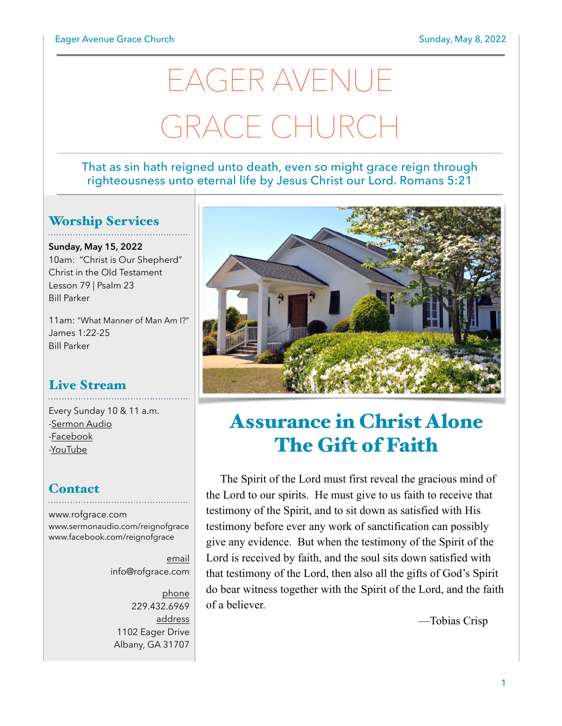# EAGER AVENUE GRACE CHURCI

#### That as sin hath reigned unto death, even so might grace reign through righteousness unto eternal life by Jesus Christ our Lord. Romans 5:21

## Worship Services

**Sunday, May 15, 2022** 10am: "Christ is Our Shepherd" Christ in the Old Testament Lesson 79 | Psalm 23 Bill Parker

11am: "What Manner of Man Am I?" James 1:22-25 Bill Parker

# Live Stream

Every Sunday 10 & 11 a.m. [-Sermon Audio](http://sermonaudio.com/reignofgrace) [-Facebook](http://facebook.com/eageravechurch) [-YouTube](http://youtube.com/channel/UCu_lTHCIUOK0cka9AjFV_5Q/live)

## **Contact**

[www.rofgrace.com](http://www.rofgrace.com) [www.sermonaudio.com/reignofgrace](http://www.sermonaudio.com/reignofgrace) [www.facebook.com/reignofgrace](http://www.facebook.com/reignofgrace)

> email [info@rofgrace.com](mailto:info@rofgrace.com?subject=)

phone 229.432.6969 address 1102 Eager Drive Albany, GA 31707



# Assurance in Christ Alone The Gift of Faith

The Spirit of the Lord must first reveal the gracious mind of the Lord to our spirits. He must give to us faith to receive that testimony of the Spirit, and to sit down as satisfied with His testimony before ever any work of sanctification can possibly give any evidence. But when the testimony of the Spirit of the Lord is received by faith, and the soul sits down satisfied with that testimony of the Lord, then also all the gifts of God's Spirit do bear witness together with the Spirit of the Lord, and the faith of a believer.

—Tobias Crisp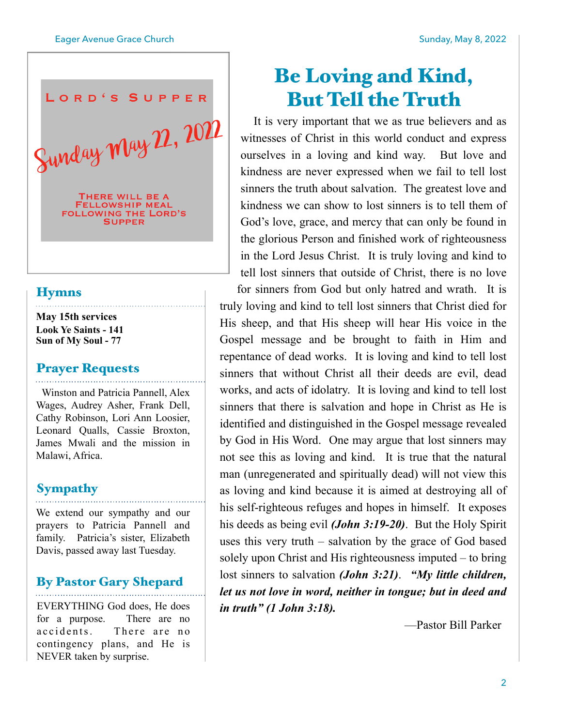

#### **Hymns**

**May 15th services Look Ye Saints - 141 Sun of My Soul - 77**

#### Prayer Requests

 Winston and Patricia Pannell, Alex Wages, Audrey Asher, Frank Dell, Cathy Robinson, Lori Ann Loosier, Leonard Qualls, Cassie Broxton, James Mwali and the mission in Malawi, Africa.

## **Sympathy**

We extend our sympathy and our prayers to Patricia Pannell and family. Patricia's sister, Elizabeth Davis, passed away last Tuesday.

### By Pastor Gary Shepard

EVERYTHING God does, He does for a purpose. There are no accidents. There are no contingency plans, and He is NEVER taken by surprise.

# Be Loving and Kind, But Tell the Truth

 It is very important that we as true believers and as witnesses of Christ in this world conduct and express ourselves in a loving and kind way. But love and kindness are never expressed when we fail to tell lost sinners the truth about salvation. The greatest love and kindness we can show to lost sinners is to tell them of God's love, grace, and mercy that can only be found in the glorious Person and finished work of righteousness in the Lord Jesus Christ. It is truly loving and kind to tell lost sinners that outside of Christ, there is no love for sinners from God but only hatred and wrath. It is truly loving and kind to tell lost sinners that Christ died for His sheep, and that His sheep will hear His voice in the Gospel message and be brought to faith in Him and repentance of dead works. It is loving and kind to tell lost sinners that without Christ all their deeds are evil, dead works, and acts of idolatry. It is loving and kind to tell lost sinners that there is salvation and hope in Christ as He is identified and distinguished in the Gospel message revealed by God in His Word. One may argue that lost sinners may not see this as loving and kind. It is true that the natural man (unregenerated and spiritually dead) will not view this as loving and kind because it is aimed at destroying all of his self-righteous refuges and hopes in himself. It exposes his deeds as being evil *(John 3:19-20)*. But the Holy Spirit uses this very truth – salvation by the grace of God based solely upon Christ and His righteousness imputed – to bring lost sinners to salvation *(John 3:21)*. *"My little children, let us not love in word, neither in tongue; but in deed and in truth" (1 John 3:18).*

—Pastor Bill Parker